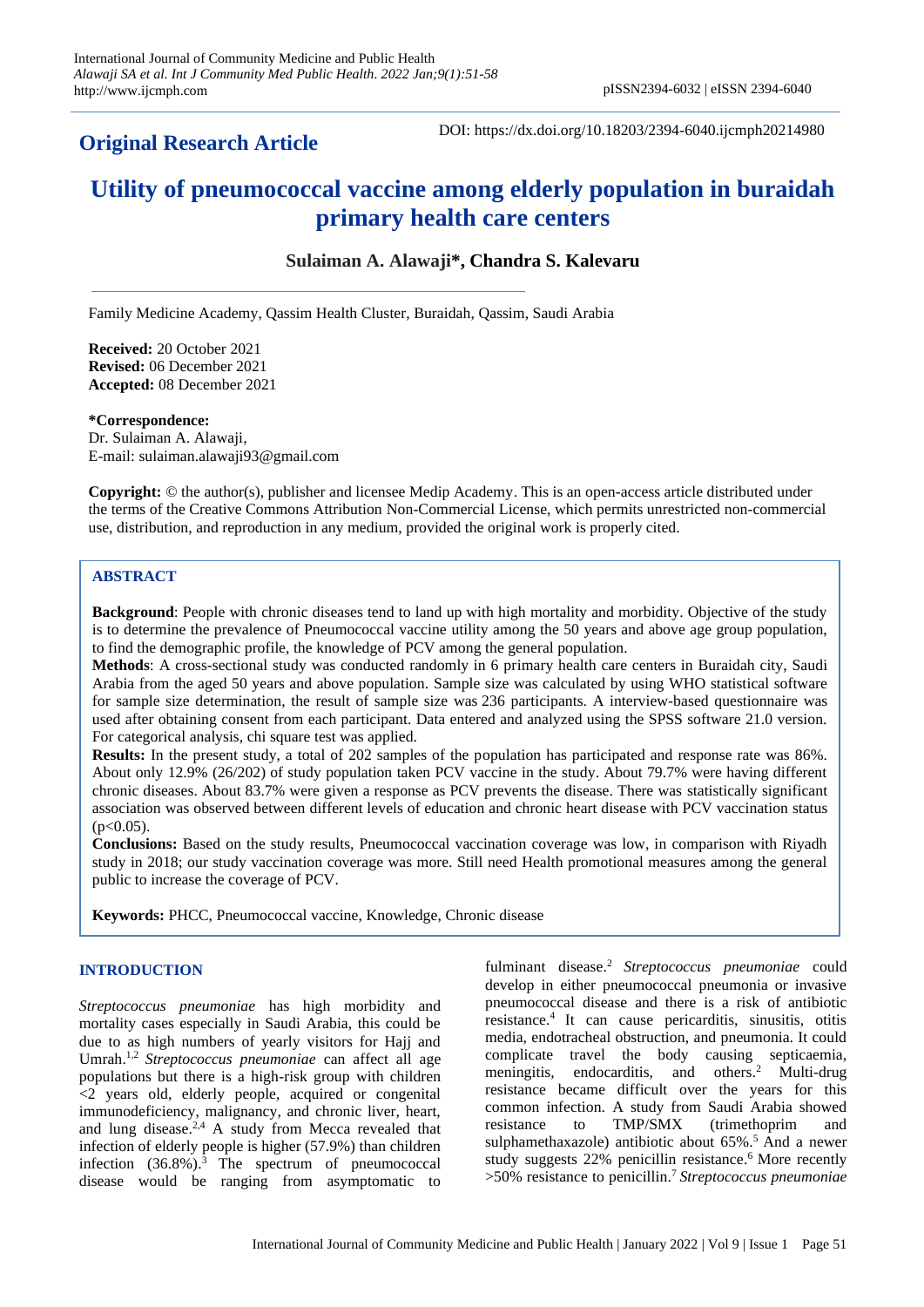# **Original Research Article**

DOI: https://dx.doi.org/10.18203/2394-6040.ijcmph20214980

# **Utility of pneumococcal vaccine among elderly population in buraidah primary health care centers**

# **Sulaiman A. Alawaji\*, Chandra S. Kalevaru**

Family Medicine Academy, Qassim Health Cluster, Buraidah, Qassim, Saudi Arabia

**Received:** 20 October 2021 **Revised:** 06 December 2021 **Accepted:** 08 December 2021

**\*Correspondence:** Dr. Sulaiman A. Alawaji, E-mail: sulaiman.alawaji93@gmail.com

**Copyright:** © the author(s), publisher and licensee Medip Academy. This is an open-access article distributed under the terms of the Creative Commons Attribution Non-Commercial License, which permits unrestricted non-commercial use, distribution, and reproduction in any medium, provided the original work is properly cited.

# **ABSTRACT**

**Background**: People with chronic diseases tend to land up with high mortality and morbidity. Objective of the study is to determine the prevalence of Pneumococcal vaccine utility among the 50 years and above age group population, to find the demographic profile, the knowledge of PCV among the general population.

**Methods**: A cross-sectional study was conducted randomly in 6 primary health care centers in Buraidah city, Saudi Arabia from the aged 50 years and above population. Sample size was calculated by using WHO statistical software for sample size determination, the result of sample size was 236 participants. A interview-based questionnaire was used after obtaining consent from each participant. Data entered and analyzed using the SPSS software 21.0 version. For categorical analysis, chi square test was applied.

**Results:** In the present study, a total of 202 samples of the population has participated and response rate was 86%. About only 12.9% (26/202) of study population taken PCV vaccine in the study. About 79.7% were having different chronic diseases. About 83.7% were given a response as PCV prevents the disease. There was statistically significant association was observed between different levels of education and chronic heart disease with PCV vaccination status  $(p<0.05)$ .

**Conclusions:** Based on the study results, Pneumococcal vaccination coverage was low, in comparison with Riyadh study in 2018; our study vaccination coverage was more. Still need Health promotional measures among the general public to increase the coverage of PCV.

**Keywords:** PHCC, Pneumococcal vaccine, Knowledge, Chronic disease

#### **INTRODUCTION**

*Streptococcus pneumoniae* has high morbidity and mortality cases especially in Saudi Arabia, this could be due to as high numbers of yearly visitors for Hajj and Umrah. 1,2 *Streptococcus pneumoniae* can affect all age populations but there is a high-risk group with children  $\leq$  years old, elderly people, acquired or congenital immunodeficiency, malignancy, and chronic liver, heart, and lung disease. $2.4$  A study from Mecca revealed that infection of elderly people is higher (57.9%) than children infection  $(36.8\%)$ <sup>3</sup> The spectrum of pneumococcal disease would be ranging from asymptomatic to

fulminant disease. <sup>2</sup> *Streptococcus pneumoniae* could develop in either pneumococcal pneumonia or invasive pneumococcal disease and there is a risk of antibiotic resistance. 4 It can cause pericarditis, sinusitis, otitis media, endotracheal obstruction, and pneumonia. It could complicate travel the body causing septicaemia, meningitis, endocarditis, and others. <sup>2</sup> Multi-drug resistance became difficult over the years for this common infection. A study from Saudi Arabia showed resistance to TMP/SMX (trimethoprim and sulphamethaxazole) antibiotic about 65%. <sup>5</sup> And a newer study suggests 22% penicillin resistance. <sup>6</sup> More recently >50% resistance to penicillin.<sup>7</sup> *Streptococcus pneumoniae*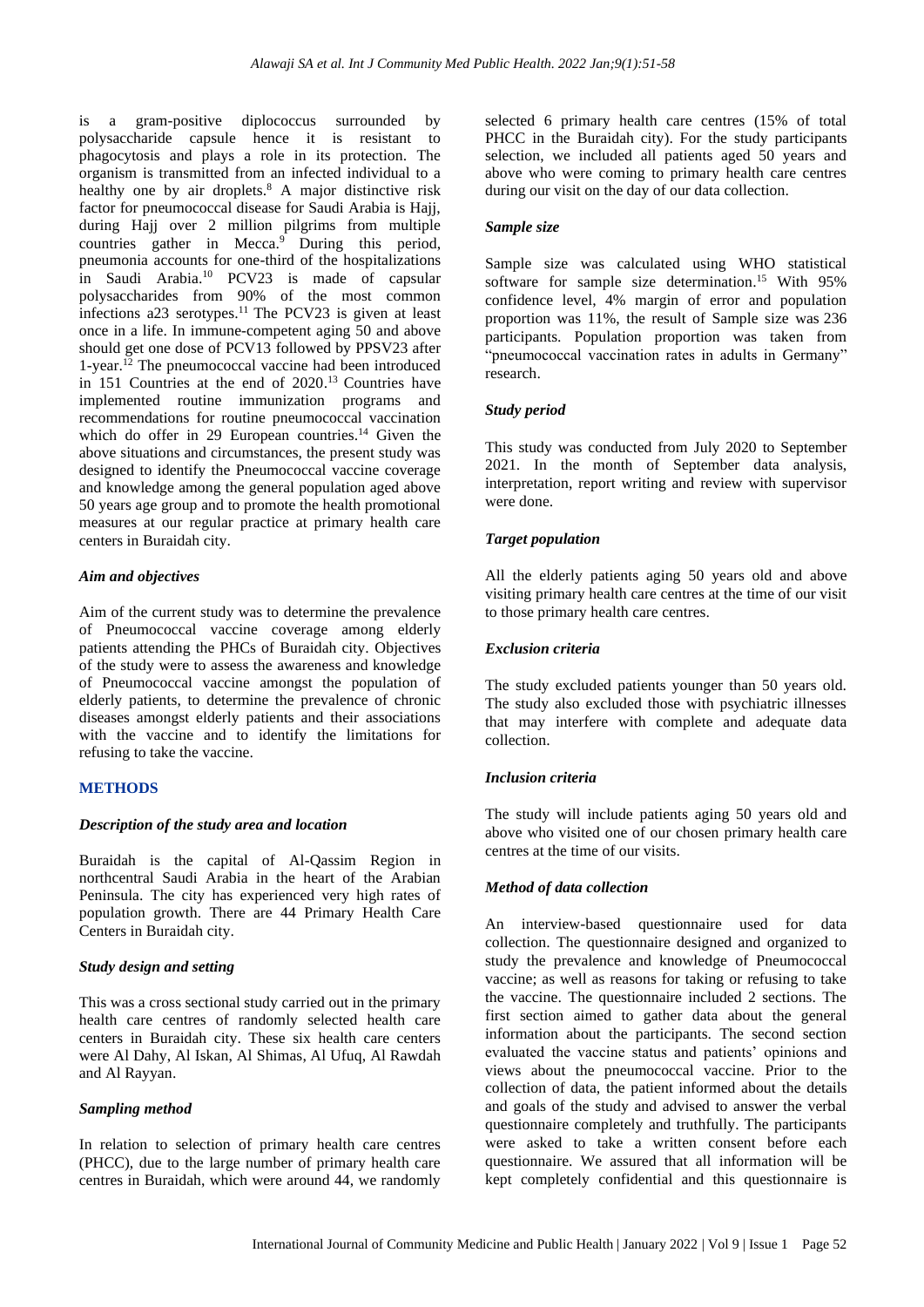is a gram-positive diplococcus surrounded by polysaccharide capsule hence it is resistant to phagocytosis and plays a role in its protection. The organism is transmitted from an infected individual to a healthy one by air droplets.<sup>8</sup> A major distinctive risk factor for pneumococcal disease for Saudi Arabia is Hajj, during Hajj over 2 million pilgrims from multiple countries gather in Mecca. <sup>9</sup> During this period, pneumonia accounts for one-third of the hospitalizations in Saudi Arabia.<sup>10</sup> PCV23 is made of capsular polysaccharides from 90% of the most common infections a23 serotypes. <sup>11</sup> The PCV23 is given at least once in a life. In immune-competent aging 50 and above should get one dose of PCV13 followed by PPSV23 after 1-year. <sup>12</sup> The pneumococcal vaccine had been introduced in 151 Countries at the end of 2020. <sup>13</sup> Countries have implemented routine immunization programs and recommendations for routine pneumococcal vaccination which do offer in 29 European countries.<sup>14</sup> Given the above situations and circumstances, the present study was designed to identify the Pneumococcal vaccine coverage and knowledge among the general population aged above 50 years age group and to promote the health promotional measures at our regular practice at primary health care centers in Buraidah city.

#### *Aim and objectives*

Aim of the current study was to determine the prevalence of Pneumococcal vaccine coverage among elderly patients attending the PHCs of Buraidah city. Objectives of the study were to assess the awareness and knowledge of Pneumococcal vaccine amongst the population of elderly patients, to determine the prevalence of chronic diseases amongst elderly patients and their associations with the vaccine and to identify the limitations for refusing to take the vaccine.

#### **METHODS**

#### *Description of the study area and location*

Buraidah is the capital of Al-Qassim Region in northcentral Saudi Arabia in the heart of the Arabian Peninsula. The city has experienced very high rates of population growth. There are 44 Primary Health Care Centers in Buraidah city.

#### *Study design and setting*

This was a cross sectional study carried out in the primary health care centres of randomly selected health care centers in Buraidah city. These six health care centers were Al Dahy, Al Iskan, Al Shimas, Al Ufuq, Al Rawdah and Al Rayyan.

#### *Sampling method*

In relation to selection of primary health care centres (PHCC), due to the large number of primary health care centres in Buraidah, which were around 44, we randomly

selected 6 primary health care centres (15% of total PHCC in the Buraidah city). For the study participants selection, we included all patients aged 50 years and above who were coming to primary health care centres during our visit on the day of our data collection.

#### *Sample size*

Sample size was calculated using WHO statistical software for sample size determination. <sup>15</sup> With 95% confidence level, 4% margin of error and population proportion was 11%, the result of Sample size was 236 participants. Population proportion was taken from "pneumococcal vaccination rates in adults in Germany" research.

#### *Study period*

This study was conducted from July 2020 to September 2021. In the month of September data analysis, interpretation, report writing and review with supervisor were done.

#### *Target population*

All the elderly patients aging 50 years old and above visiting primary health care centres at the time of our visit to those primary health care centres.

#### *Exclusion criteria*

The study excluded patients younger than 50 years old. The study also excluded those with psychiatric illnesses that may interfere with complete and adequate data collection.

#### *Inclusion criteria*

The study will include patients aging 50 years old and above who visited one of our chosen primary health care centres at the time of our visits.

#### *Method of data collection*

An interview-based questionnaire used for data collection. The questionnaire designed and organized to study the prevalence and knowledge of Pneumococcal vaccine; as well as reasons for taking or refusing to take the vaccine. The questionnaire included 2 sections. The first section aimed to gather data about the general information about the participants. The second section evaluated the vaccine status and patients' opinions and views about the pneumococcal vaccine. Prior to the collection of data, the patient informed about the details and goals of the study and advised to answer the verbal questionnaire completely and truthfully. The participants were asked to take a written consent before each questionnaire. We assured that all information will be kept completely confidential and this questionnaire is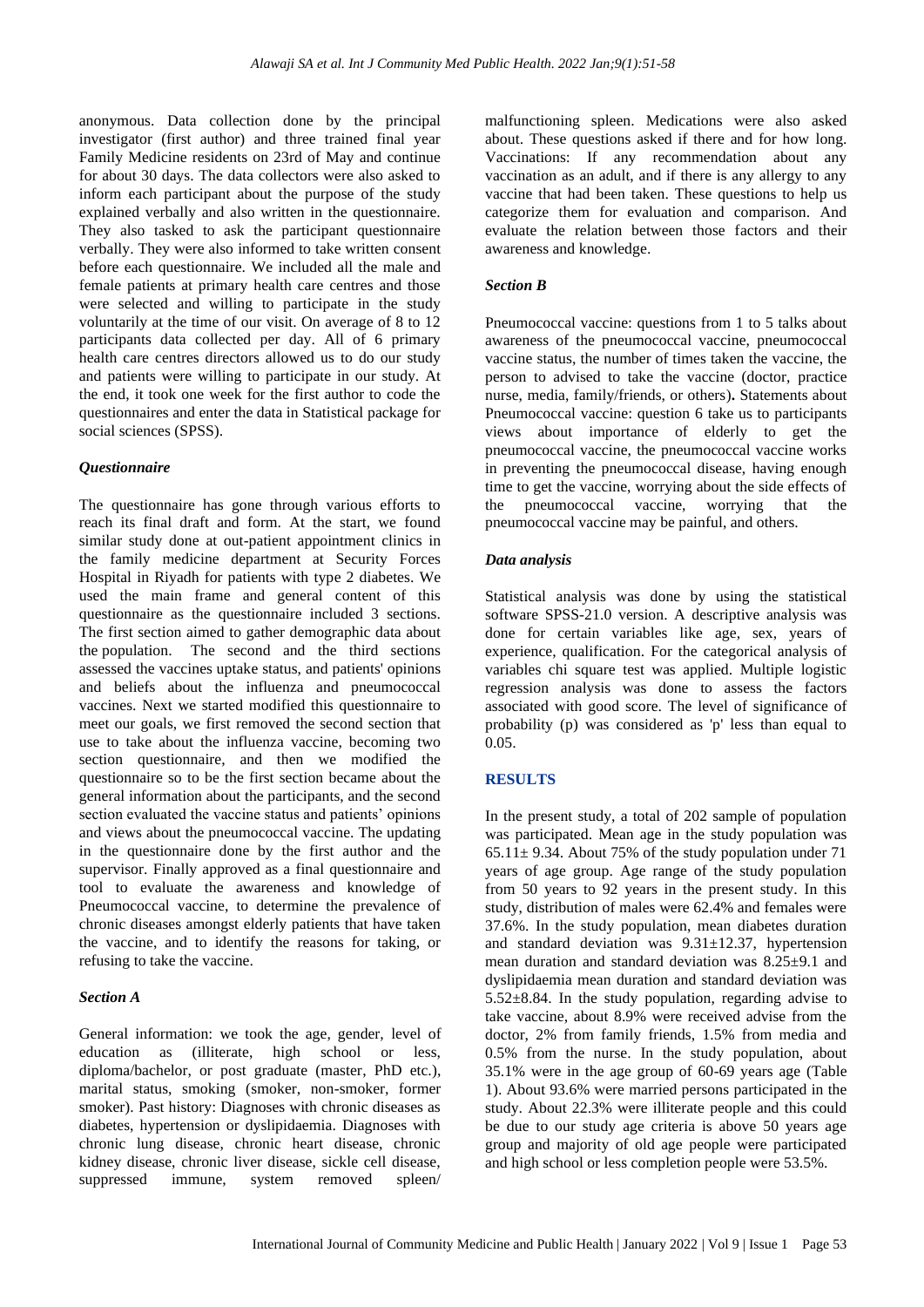anonymous. Data collection done by the principal investigator (first author) and three trained final year Family Medicine residents on 23rd of May and continue for about 30 days. The data collectors were also asked to inform each participant about the purpose of the study explained verbally and also written in the questionnaire. They also tasked to ask the participant questionnaire verbally. They were also informed to take written consent before each questionnaire. We included all the male and female patients at primary health care centres and those were selected and willing to participate in the study voluntarily at the time of our visit. On average of 8 to 12 participants data collected per day. All of 6 primary health care centres directors allowed us to do our study and patients were willing to participate in our study. At the end, it took one week for the first author to code the questionnaires and enter the data in Statistical package for social sciences (SPSS).

# *Questionnaire*

The questionnaire has gone through various efforts to reach its final draft and form. At the start, we found similar study done at out-patient appointment clinics in the family medicine department at Security Forces Hospital in Riyadh for patients with type 2 diabetes. We used the main frame and general content of this questionnaire as the questionnaire included 3 sections. The first section aimed to gather demographic data about the population. The second and the third sections assessed the vaccines uptake status, and patients' opinions and beliefs about the influenza and pneumococcal vaccines. Next we started modified this questionnaire to meet our goals, we first removed the second section that use to take about the influenza vaccine, becoming two section questionnaire, and then we modified the questionnaire so to be the first section became about the general information about the participants, and the second section evaluated the vaccine status and patients' opinions and views about the pneumococcal vaccine. The updating in the questionnaire done by the first author and the supervisor. Finally approved as a final questionnaire and tool to evaluate the awareness and knowledge of Pneumococcal vaccine, to determine the prevalence of chronic diseases amongst elderly patients that have taken the vaccine, and to identify the reasons for taking, or refusing to take the vaccine.

#### *Section A*

General information: we took the age, gender, level of education as (illiterate, high school or less, diploma/bachelor, or post graduate (master, PhD etc.), marital status, smoking (smoker, non-smoker, former smoker). Past history: Diagnoses with chronic diseases as diabetes, hypertension or dyslipidaemia. Diagnoses with chronic lung disease, chronic heart disease, chronic kidney disease, chronic liver disease, sickle cell disease, suppressed immune, system removed spleen/

malfunctioning spleen. Medications were also asked about. These questions asked if there and for how long. Vaccinations: If any recommendation about any vaccination as an adult, and if there is any allergy to any vaccine that had been taken. These questions to help us categorize them for evaluation and comparison. And evaluate the relation between those factors and their awareness and knowledge.

#### *Section B*

Pneumococcal vaccine: questions from 1 to 5 talks about awareness of the pneumococcal vaccine, pneumococcal vaccine status, the number of times taken the vaccine, the person to advised to take the vaccine (doctor, practice nurse, media, family/friends, or others)**.** Statements about Pneumococcal vaccine: question 6 take us to participants views about importance of elderly to get the pneumococcal vaccine, the pneumococcal vaccine works in preventing the pneumococcal disease, having enough time to get the vaccine, worrying about the side effects of the pneumococcal vaccine, worrying that the pneumococcal vaccine may be painful, and others.

#### *Data analysis*

Statistical analysis was done by using the statistical software SPSS-21.0 version. A descriptive analysis was done for certain variables like age, sex, years of experience, qualification. For the categorical analysis of variables chi square test was applied. Multiple logistic regression analysis was done to assess the factors associated with good score. The level of significance of probability (p) was considered as 'p' less than equal to 0.05.

#### **RESULTS**

In the present study, a total of 202 sample of population was participated. Mean age in the study population was  $65.11 \pm 9.34$ . About 75% of the study population under 71 years of age group. Age range of the study population from 50 years to 92 years in the present study. In this study, distribution of males were 62.4% and females were 37.6%. In the study population, mean diabetes duration and standard deviation was  $9.31 \pm 12.37$ , hypertension mean duration and standard deviation was 8.25±9.1 and dyslipidaemia mean duration and standard deviation was  $5.52\pm8.84$ . In the study population, regarding advise to take vaccine, about 8.9% were received advise from the doctor, 2% from family friends, 1.5% from media and 0.5% from the nurse. In the study population, about 35.1% were in the age group of 60-69 years age (Table 1). About 93.6% were married persons participated in the study. About 22.3% were illiterate people and this could be due to our study age criteria is above 50 years age group and majority of old age people were participated and high school or less completion people were 53.5%.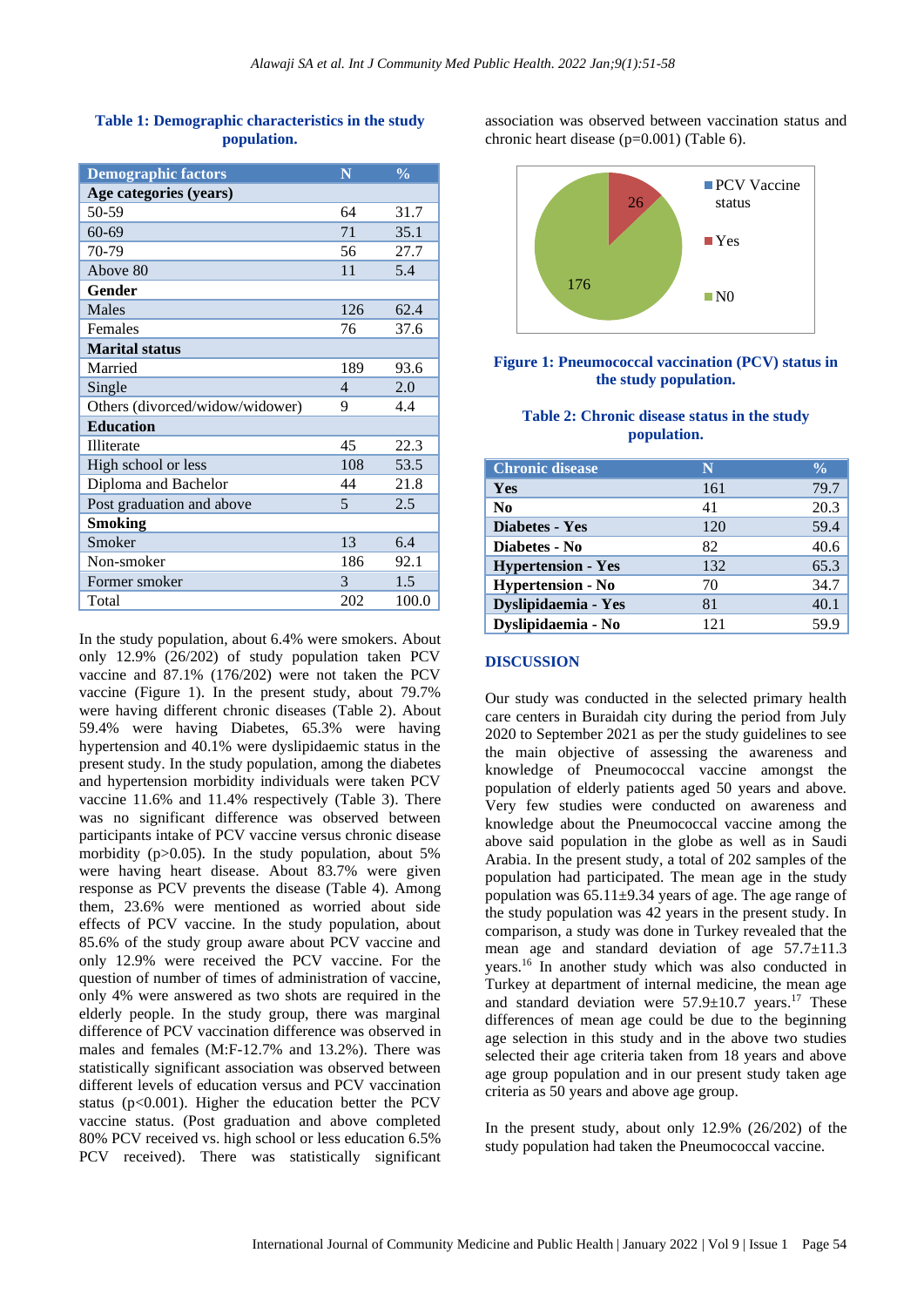| <b>Demographic factors</b>      | N                        | $\frac{0}{0}$ |
|---------------------------------|--------------------------|---------------|
| Age categories (years)          |                          |               |
| 50-59                           | 64                       | 31.7          |
| $60 - 69$                       | 71                       | 35.1          |
| 70-79                           | 56                       | 27.7          |
| Above 80                        | 11                       | 5.4           |
| Gender                          |                          |               |
| <b>Males</b>                    | 126                      | 62.4          |
| Females                         | 76                       | 37.6          |
| <b>Marital status</b>           |                          |               |
| Married                         | 189                      | 93.6          |
| Single                          | $\overline{\mathcal{A}}$ | 2.0           |
| Others (divorced/widow/widower) | 9                        | 4.4           |
| <b>Education</b>                |                          |               |
| <b>Illiterate</b>               | 45                       | 22.3          |
| High school or less             | 108                      | 53.5          |
| Diploma and Bachelor            | 44                       | 21.8          |
| Post graduation and above       | 5                        | 2.5           |
| <b>Smoking</b>                  |                          |               |
| Smoker                          | 13                       | 6.4           |
| Non-smoker                      | 186                      | 92.1          |
| Former smoker                   | 3                        | 1.5           |
| Total                           | 202                      | 100.0         |

# **Table 1: Demographic characteristics in the study population.**

In the study population, about 6.4% were smokers. About only 12.9% (26/202) of study population taken PCV vaccine and 87.1% (176/202) were not taken the PCV vaccine (Figure 1). In the present study, about 79.7% were having different chronic diseases (Table 2). About 59.4% were having Diabetes, 65.3% were having hypertension and 40.1% were dyslipidaemic status in the present study. In the study population, among the diabetes and hypertension morbidity individuals were taken PCV vaccine 11.6% and 11.4% respectively (Table 3). There was no significant difference was observed between participants intake of PCV vaccine versus chronic disease morbidity ( $p > 0.05$ ). In the study population, about 5% were having heart disease. About 83.7% were given response as PCV prevents the disease (Table 4). Among them, 23.6% were mentioned as worried about side effects of PCV vaccine. In the study population, about 85.6% of the study group aware about PCV vaccine and only 12.9% were received the PCV vaccine. For the question of number of times of administration of vaccine, only 4% were answered as two shots are required in the elderly people. In the study group, there was marginal difference of PCV vaccination difference was observed in males and females (M:F-12.7% and 13.2%). There was statistically significant association was observed between different levels of education versus and PCV vaccination status ( $p<0.001$ ). Higher the education better the PCV vaccine status. (Post graduation and above completed 80% PCV received vs. high school or less education 6.5% PCV received). There was statistically significant

association was observed between vaccination status and chronic heart disease (p=0.001) (Table 6).



# **Figure 1: Pneumococcal vaccination (PCV) status in the study population.**

# **Table 2: Chronic disease status in the study population.**

| <b>Chronic disease</b>    | N   | $\frac{0}{0}$ |
|---------------------------|-----|---------------|
| Yes                       | 161 | 79.7          |
| $\bf No$                  | 41  | 20.3          |
| <b>Diabetes - Yes</b>     | 120 | 59.4          |
| Diabetes - No             | 82  | 40.6          |
| <b>Hypertension - Yes</b> | 132 | 65.3          |
| <b>Hypertension - No</b>  | 70  | 34.7          |
| Dyslipidaemia - Yes       | 81  | 40.1          |
| Dyslipidaemia - No        | 121 |               |

#### **DISCUSSION**

Our study was conducted in the selected primary health care centers in Buraidah city during the period from July 2020 to September 2021 as per the study guidelines to see the main objective of assessing the awareness and knowledge of Pneumococcal vaccine amongst the population of elderly patients aged 50 years and above. Very few studies were conducted on awareness and knowledge about the Pneumococcal vaccine among the above said population in the globe as well as in Saudi Arabia. In the present study, a total of 202 samples of the population had participated. The mean age in the study population was 65.11±9.34 years of age. The age range of the study population was 42 years in the present study. In comparison, a study was done in Turkey revealed that the mean age and standard deviation of age  $57.7 \pm 11.3$ years. <sup>16</sup> In another study which was also conducted in Turkey at department of internal medicine, the mean age and standard deviation were  $57.9 \pm 10.7$  years.<sup>17</sup> These differences of mean age could be due to the beginning age selection in this study and in the above two studies selected their age criteria taken from 18 years and above age group population and in our present study taken age criteria as 50 years and above age group.

In the present study, about only 12.9% (26/202) of the study population had taken the Pneumococcal vaccine.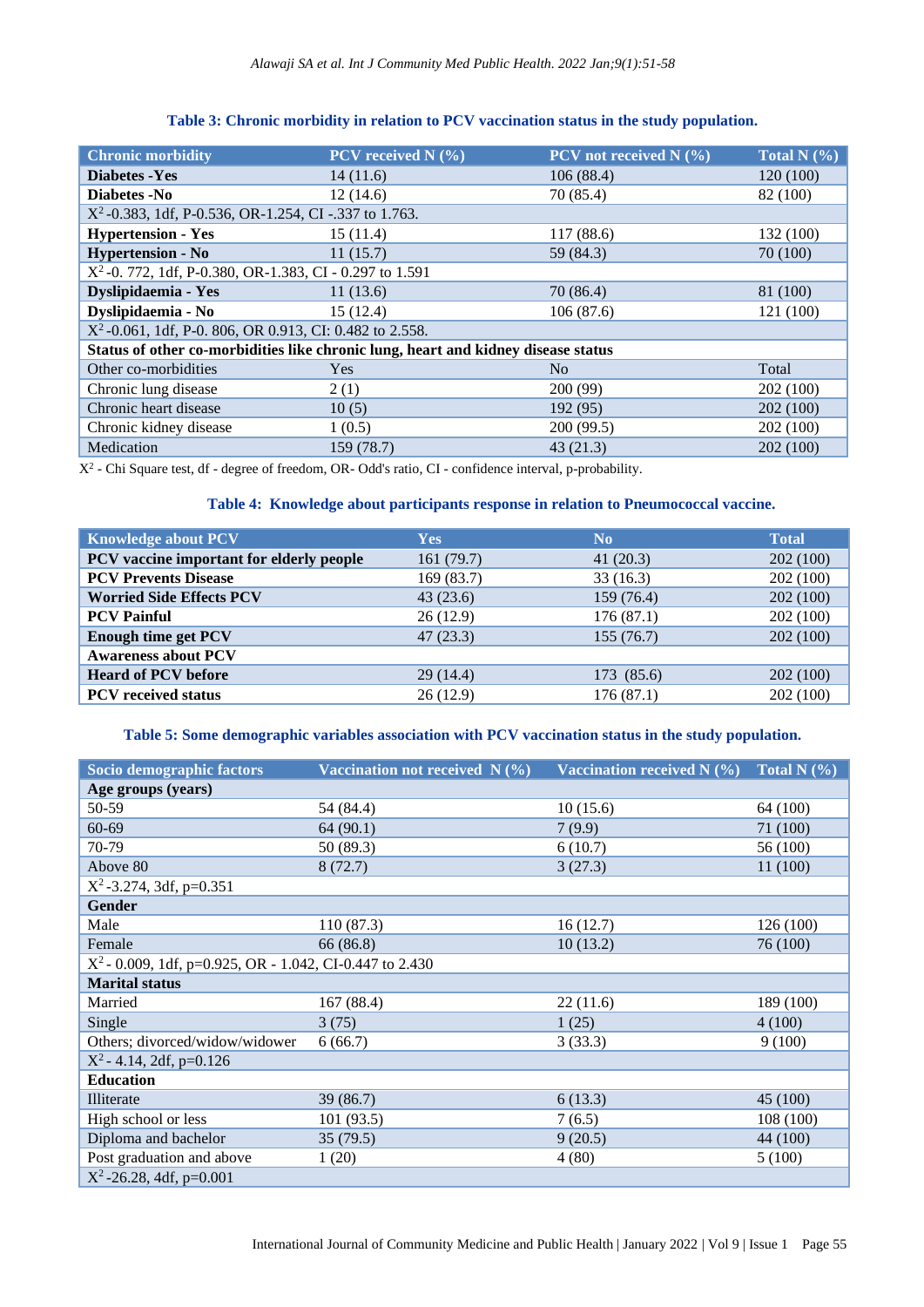| <b>Chronic morbidity</b>                                                          | PCV received $N(%$ | PCV not received $N$ (%) | <b>Total N</b> $(\overline{\%})$ |
|-----------------------------------------------------------------------------------|--------------------|--------------------------|----------------------------------|
| <b>Diabetes - Yes</b>                                                             | 14(11.6)           | 106(88.4)                | 120 (100)                        |
| Diabetes -No                                                                      | 12(14.6)           | 70 (85.4)                | 82 (100)                         |
| $X^2$ -0.383, 1df, P-0.536, OR-1.254, CI-.337 to 1.763.                           |                    |                          |                                  |
| <b>Hypertension - Yes</b>                                                         | 15(11.4)           | 117(88.6)                | 132 (100)                        |
| <b>Hypertension - No</b>                                                          | 11(15.7)           | 59 (84.3)                | 70 (100)                         |
| $X^2$ -0. 772, 1df, P-0.380, OR-1.383, CI - 0.297 to 1.591                        |                    |                          |                                  |
| Dyslipidaemia - Yes                                                               | 11(13.6)           | 70(86.4)                 | 81 (100)                         |
| Dyslipidaemia - No                                                                | 15(12.4)           | 106(87.6)                | 121(100)                         |
| $X^2$ -0.061, 1df, P-0.806, OR 0.913, CI: 0.482 to 2.558.                         |                    |                          |                                  |
| Status of other co-morbidities like chronic lung, heart and kidney disease status |                    |                          |                                  |
| Other co-morbidities                                                              | Yes                | N <sub>o</sub>           | Total                            |
| Chronic lung disease                                                              | 2(1)               | 200 (99)                 | 202(100)                         |
| Chronic heart disease                                                             | 10(5)              | 192 (95)                 | 202 (100)                        |
| Chronic kidney disease                                                            | 1(0.5)             | 200 (99.5)               | 202 (100)                        |
| Medication                                                                        | 159 (78.7)         | 43(21.3)                 | 202 (100)                        |

# **Table 3: Chronic morbidity in relation to PCV vaccination status in the study population.**

X2 - Chi Square test, df - degree of freedom, OR- Odd's ratio, CI - confidence interval, p-probability.

# **Table 4: Knowledge about participants response in relation to Pneumococcal vaccine.**

| <b>Knowledge about PCV</b>               | <b>Yes</b> | N <sub>0</sub> | <b>Total</b> |
|------------------------------------------|------------|----------------|--------------|
| PCV vaccine important for elderly people | 161(79.7)  | 41(20.3)       | 202(100)     |
| <b>PCV Prevents Disease</b>              | 169(83.7)  | 33 (16.3)      | 202 (100)    |
| <b>Worried Side Effects PCV</b>          | 43(23.6)   | 159 (76.4)     | 202(100)     |
| <b>PCV Painful</b>                       | 26(12.9)   | 176(87.1)      | 202 (100)    |
| <b>Enough time get PCV</b>               | 47(23.3)   | 155(76.7)      | 202(100)     |
| <b>Awareness about PCV</b>               |            |                |              |
| <b>Heard of PCV before</b>               | 29(14.4)   | 173 (85.6)     | 202 (100)    |
| <b>PCV</b> received status               | 26(12.9)   | 176(87.1)      | 202 (100)    |

#### **Table 5: Some demographic variables association with PCV vaccination status in the study population.**

| Socio demographic factors                                  | Vaccination not received $N(\%)$ | Vaccination received $N$ (%) | Total N $(\% )$ |
|------------------------------------------------------------|----------------------------------|------------------------------|-----------------|
| Age groups (years)                                         |                                  |                              |                 |
| 50-59                                                      | 54 (84.4)                        | 10(15.6)                     | 64 (100)        |
| 60-69                                                      | 64(90.1)                         | 7(9.9)                       | 71 (100)        |
| 70-79                                                      | 50 (89.3)                        | 6(10.7)                      | 56 (100)        |
| Above 80                                                   | 8(72.7)                          | 3(27.3)                      | 11(100)         |
| $X^2$ -3.274, 3df, p=0.351                                 |                                  |                              |                 |
| <b>Gender</b>                                              |                                  |                              |                 |
| Male                                                       | 110 (87.3)                       | 16(12.7)                     | 126(100)        |
| Female                                                     | 66 (86.8)                        | 10(13.2)                     | 76 (100)        |
| $X^2$ - 0.009, 1df, p=0.925, OR - 1.042, CI-0.447 to 2.430 |                                  |                              |                 |
| <b>Marital status</b>                                      |                                  |                              |                 |
| Married                                                    | 167 (88.4)                       | 22(11.6)                     | 189 (100)       |
| Single                                                     | 3(75)                            | 1(25)                        | 4(100)          |
| Others; divorced/widow/widower                             | 6(66.7)                          | 3(33.3)                      | 9(100)          |
| $X^2$ - 4.14, 2df, p=0.126                                 |                                  |                              |                 |
| <b>Education</b>                                           |                                  |                              |                 |
| Illiterate                                                 | 39(86.7)                         | 6(13.3)                      | 45 (100)        |
| High school or less                                        | 101(93.5)                        | 7(6.5)                       | 108 (100)       |
| Diploma and bachelor                                       | 35(79.5)                         | 9(20.5)                      | 44 (100)        |
| Post graduation and above                                  | 1(20)                            | 4(80)                        | 5(100)          |
| $X^2$ -26.28, 4df, p=0.001                                 |                                  |                              |                 |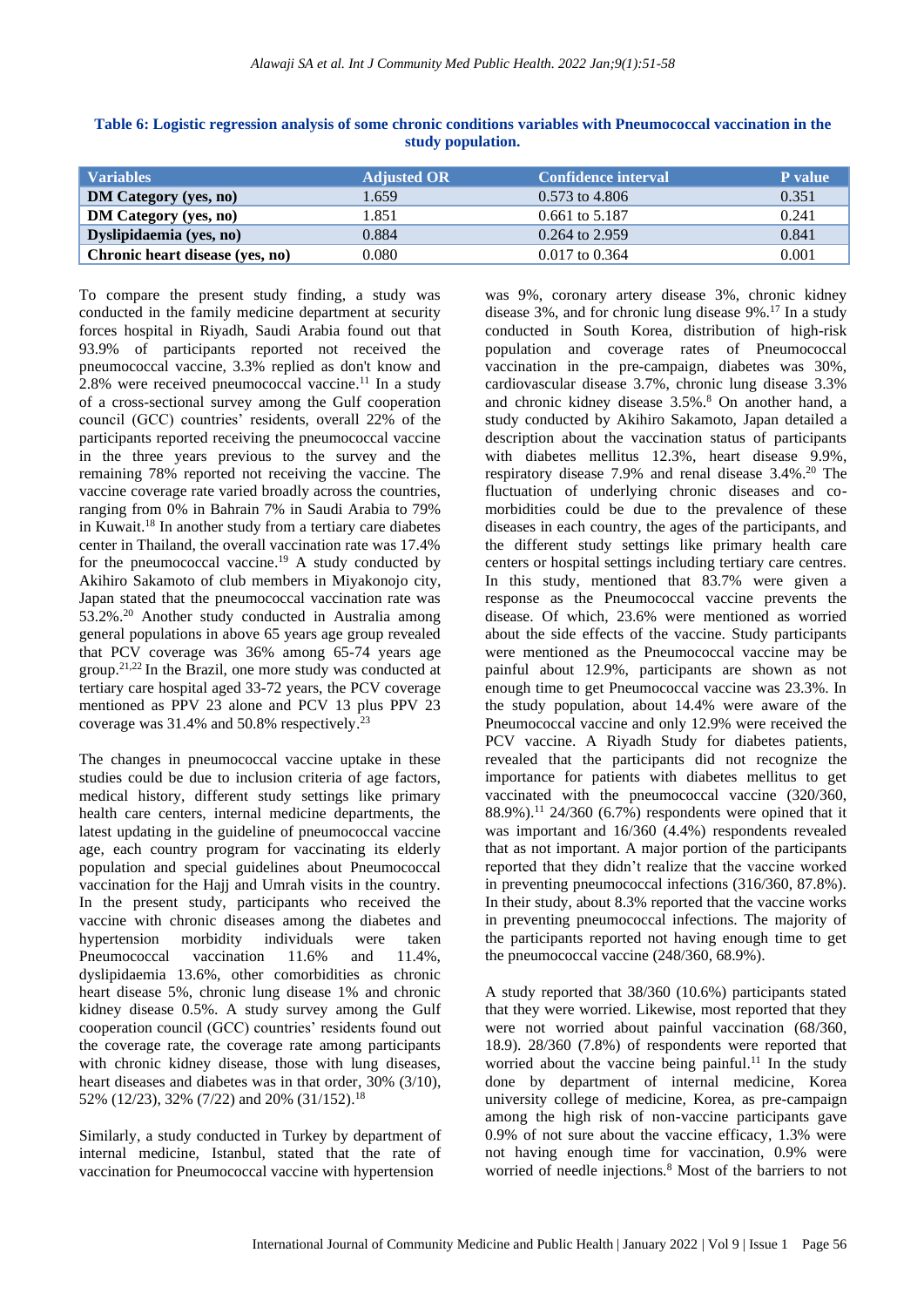| <b>Variables</b>                | <b>Adjusted OR</b> | <b>Confidence interval</b> | P value |
|---------------------------------|--------------------|----------------------------|---------|
| <b>DM Category (yes, no)</b>    | 1.659              | $0.573$ to 4.806           | 0.351   |
| <b>DM Category (yes, no)</b>    | 1.851              | 0.661 to 5.187             | 0.241   |
| Dyslipidaemia (yes, no)         | 0.884              | $0.264$ to 2.959           | 0.841   |
| Chronic heart disease (yes, no) | 0.080              | $0.017$ to $0.364$         | 0.001   |

**Table 6: Logistic regression analysis of some chronic conditions variables with Pneumococcal vaccination in the study population.**

To compare the present study finding, a study was conducted in the family medicine department at security forces hospital in Riyadh, Saudi Arabia found out that 93.9% of participants reported not received the pneumococcal vaccine, 3.3% replied as don't know and 2.8% were received pneumococcal vaccine. <sup>11</sup> In a study of a cross-sectional survey among the Gulf cooperation council (GCC) countries' residents, overall 22% of the participants reported receiving the pneumococcal vaccine in the three years previous to the survey and the remaining 78% reported not receiving the vaccine. The vaccine coverage rate varied broadly across the countries, ranging from 0% in Bahrain 7% in Saudi Arabia to 79% in Kuwait. <sup>18</sup> In another study from a tertiary care diabetes center in Thailand, the overall vaccination rate was 17.4% for the pneumococcal vaccine. <sup>19</sup> A study conducted by Akihiro Sakamoto of club members in Miyakonojo city, Japan stated that the pneumococcal vaccination rate was 53.2%. <sup>20</sup> Another study conducted in Australia among general populations in above 65 years age group revealed that PCV coverage was 36% among 65-74 years age group. 21,22 In the Brazil, one more study was conducted at tertiary care hospital aged 33-72 years, the PCV coverage mentioned as PPV 23 alone and PCV 13 plus PPV 23 coverage was 31.4% and 50.8% respectively. 23

The changes in pneumococcal vaccine uptake in these studies could be due to inclusion criteria of age factors, medical history, different study settings like primary health care centers, internal medicine departments, the latest updating in the guideline of pneumococcal vaccine age, each country program for vaccinating its elderly population and special guidelines about Pneumococcal vaccination for the Hajj and Umrah visits in the country. In the present study, participants who received the vaccine with chronic diseases among the diabetes and hypertension morbidity individuals were taken Pneumococcal vaccination 11.6% and 11.4%, dyslipidaemia 13.6%, other comorbidities as chronic heart disease 5%, chronic lung disease 1% and chronic kidney disease 0.5%. A study survey among the Gulf cooperation council (GCC) countries' residents found out the coverage rate, the coverage rate among participants with chronic kidney disease, those with lung diseases, heart diseases and diabetes was in that order, 30% (3/10), 52% (12/23), 32% (7/22) and 20% (31/152).<sup>18</sup>

Similarly, a study conducted in Turkey by department of internal medicine, Istanbul, stated that the rate of vaccination for Pneumococcal vaccine with hypertension

was 9%, coronary artery disease 3%, chronic kidney disease 3%, and for chronic lung disease 9%. <sup>17</sup> In a study conducted in South Korea, distribution of high-risk population and coverage rates of Pneumococcal vaccination in the pre-campaign, diabetes was 30%, cardiovascular disease 3.7%, chronic lung disease 3.3% and chronic kidney disease 3.5%. <sup>8</sup> On another hand, a study conducted by Akihiro Sakamoto, Japan detailed a description about the vaccination status of participants with diabetes mellitus 12.3%, heart disease 9.9%, respiratory disease 7.9% and renal disease 3.4%. <sup>20</sup> The fluctuation of underlying chronic diseases and comorbidities could be due to the prevalence of these diseases in each country, the ages of the participants, and the different study settings like primary health care centers or hospital settings including tertiary care centres. In this study, mentioned that 83.7% were given a response as the Pneumococcal vaccine prevents the disease. Of which, 23.6% were mentioned as worried about the side effects of the vaccine. Study participants were mentioned as the Pneumococcal vaccine may be painful about 12.9%, participants are shown as not enough time to get Pneumococcal vaccine was 23.3%. In the study population, about 14.4% were aware of the Pneumococcal vaccine and only 12.9% were received the PCV vaccine. A Riyadh Study for diabetes patients, revealed that the participants did not recognize the importance for patients with diabetes mellitus to get vaccinated with the pneumococcal vaccine (320/360, 88.9%).<sup>11</sup> 24/360 (6.7%) respondents were opined that it was important and 16/360 (4.4%) respondents revealed that as not important. A major portion of the participants reported that they didn't realize that the vaccine worked in preventing pneumococcal infections (316/360, 87.8%). In their study, about 8.3% reported that the vaccine works in preventing pneumococcal infections. The majority of the participants reported not having enough time to get the pneumococcal vaccine (248/360, 68.9%).

A study reported that 38/360 (10.6%) participants stated that they were worried. Likewise, most reported that they were not worried about painful vaccination (68/360, 18.9). 28/360 (7.8%) of respondents were reported that worried about the vaccine being painful.<sup>11</sup> In the study done by department of internal medicine, Korea university college of medicine, Korea, as pre-campaign among the high risk of non-vaccine participants gave 0.9% of not sure about the vaccine efficacy, 1.3% were not having enough time for vaccination, 0.9% were worried of needle injections.<sup>8</sup> Most of the barriers to not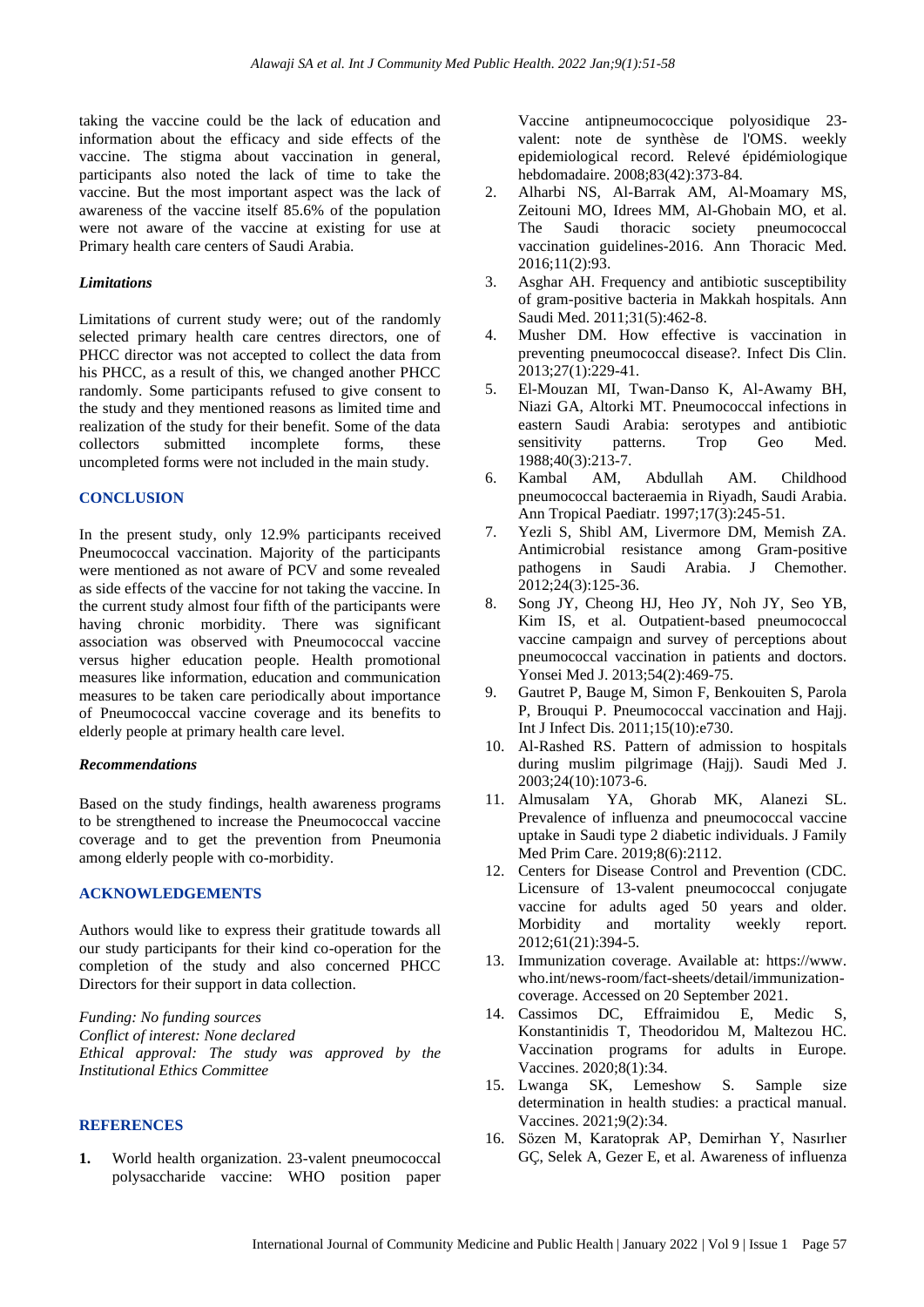taking the vaccine could be the lack of education and information about the efficacy and side effects of the vaccine. The stigma about vaccination in general, participants also noted the lack of time to take the vaccine. But the most important aspect was the lack of awareness of the vaccine itself 85.6% of the population were not aware of the vaccine at existing for use at Primary health care centers of Saudi Arabia.

#### *Limitations*

Limitations of current study were; out of the randomly selected primary health care centres directors, one of PHCC director was not accepted to collect the data from his PHCC, as a result of this, we changed another PHCC randomly. Some participants refused to give consent to the study and they mentioned reasons as limited time and realization of the study for their benefit. Some of the data collectors submitted incomplete forms, these uncompleted forms were not included in the main study.

#### **CONCLUSION**

In the present study, only 12.9% participants received Pneumococcal vaccination. Majority of the participants were mentioned as not aware of PCV and some revealed as side effects of the vaccine for not taking the vaccine. In the current study almost four fifth of the participants were having chronic morbidity. There was significant association was observed with Pneumococcal vaccine versus higher education people. Health promotional measures like information, education and communication measures to be taken care periodically about importance of Pneumococcal vaccine coverage and its benefits to elderly people at primary health care level.

#### *Recommendations*

Based on the study findings, health awareness programs to be strengthened to increase the Pneumococcal vaccine coverage and to get the prevention from Pneumonia among elderly people with co-morbidity.

#### **ACKNOWLEDGEMENTS**

Authors would like to express their gratitude towards all our study participants for their kind co-operation for the completion of the study and also concerned PHCC Directors for their support in data collection.

*Funding: No funding sources Conflict of interest: None declared Ethical approval: The study was approved by the Institutional Ethics Committee*

#### **REFERENCES**

**1.** World health organization. 23-valent pneumococcal polysaccharide vaccine: WHO position paper

Vaccine antipneumococcique polyosidique 23 valent: note de synthèse de l'OMS. weekly epidemiological record. Relevé épidémiologique hebdomadaire. 2008;83(42):373-84.

- 2. Alharbi NS, Al-Barrak AM, Al-Moamary MS, Zeitouni MO, Idrees MM, Al-Ghobain MO, et al. The Saudi thoracic society pneumococcal vaccination guidelines-2016. Ann Thoracic Med. 2016;11(2):93.
- 3. Asghar AH. Frequency and antibiotic susceptibility of gram-positive bacteria in Makkah hospitals. Ann Saudi Med. 2011;31(5):462-8.
- 4. Musher DM. How effective is vaccination in preventing pneumococcal disease?. Infect Dis Clin. 2013;27(1):229-41.
- 5. El-Mouzan MI, Twan-Danso K, Al-Awamy BH, Niazi GA, Altorki MT. Pneumococcal infections in eastern Saudi Arabia: serotypes and antibiotic sensitivity patterns. Trop Geo Med. 1988;40(3):213-7.
- 6. Kambal AM, Abdullah AM. Childhood pneumococcal bacteraemia in Riyadh, Saudi Arabia. Ann Tropical Paediatr. 1997;17(3):245-51.
- 7. Yezli S, Shibl AM, Livermore DM, Memish ZA. Antimicrobial resistance among Gram-positive pathogens in Saudi Arabia. J Chemother.  $2012;24(3):125-36.$
- 8. Song JY, Cheong HJ, Heo JY, Noh JY, Seo YB, Kim IS, et al. Outpatient-based pneumococcal vaccine campaign and survey of perceptions about pneumococcal vaccination in patients and doctors. Yonsei Med J. 2013;54(2):469-75.
- 9. Gautret P, Bauge M, Simon F, Benkouiten S, Parola P, Brouqui P. Pneumococcal vaccination and Hajj. Int J Infect Dis. 2011;15(10):e730.
- 10. Al-Rashed RS. Pattern of admission to hospitals during muslim pilgrimage (Hajj). Saudi Med J. 2003;24(10):1073-6.
- 11. Almusalam YA, Ghorab MK, Alanezi SL. Prevalence of influenza and pneumococcal vaccine uptake in Saudi type 2 diabetic individuals. J Family Med Prim Care. 2019;8(6):2112.
- 12. Centers for Disease Control and Prevention (CDC. Licensure of 13-valent pneumococcal conjugate vaccine for adults aged 50 years and older.<br>Morbidity and mortality weekly report. Morbidity and mortality weekly report. 2012;61(21):394-5.
- 13. Immunization coverage. Available at: https://www. who.int/news-room/fact-sheets/detail/immunizationcoverage. Accessed on 20 September 2021.
- 14. Cassimos DC, Effraimidou E, Medic S, Konstantinidis T, Theodoridou M, Maltezou HC. Vaccination programs for adults in Europe. Vaccines. 2020;8(1):34.
- 15. Lwanga SK, Lemeshow S. Sample size determination in health studies: a practical manual. Vaccines. 2021;9(2):34.
- 16. Sözen M, Karatoprak AP, Demirhan Y, Nasırlıer GÇ, Selek A, Gezer E, et al. Awareness of influenza